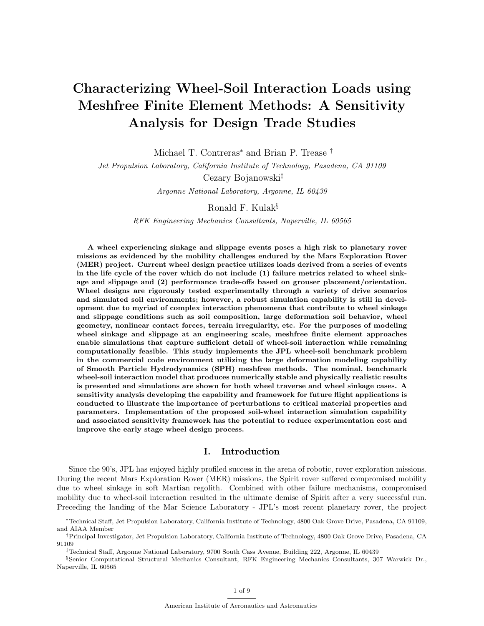# Characterizing Wheel-Soil Interaction Loads using Meshfree Finite Element Methods: A Sensitivity Analysis for Design Trade Studies

Michael T. Contreras<sup>∗</sup> and Brian P. Trease †

Jet Propulsion Laboratory, California Institute of Technology, Pasadena, CA 91109

Cezary Bojanowski‡

Argonne National Laboratory, Argonne, IL 60439

Ronald F. Kulak§

RFK Engineering Mechanics Consultants, Naperville, IL 60565

A wheel experiencing sinkage and slippage events poses a high risk to planetary rover missions as evidenced by the mobility challenges endured by the Mars Exploration Rover (MER) project. Current wheel design practice utilizes loads derived from a series of events in the life cycle of the rover which do not include (1) failure metrics related to wheel sinkage and slippage and (2) performance trade-offs based on grouser placement/orientation. Wheel designs are rigorously tested experimentally through a variety of drive scenarios and simulated soil environments; however, a robust simulation capability is still in development due to myriad of complex interaction phenomena that contribute to wheel sinkage and slippage conditions such as soil composition, large deformation soil behavior, wheel geometry, nonlinear contact forces, terrain irregularity, etc. For the purposes of modeling wheel sinkage and slippage at an engineering scale, meshfree finite element approaches enable simulations that capture sufficient detail of wheel-soil interaction while remaining computationally feasible. This study implements the JPL wheel-soil benchmark problem in the commercial code environment utilizing the large deformation modeling capability of Smooth Particle Hydrodynamics (SPH) meshfree methods. The nominal, benchmark wheel-soil interaction model that produces numerically stable and physically realistic results is presented and simulations are shown for both wheel traverse and wheel sinkage cases. A sensitivity analysis developing the capability and framework for future flight applications is conducted to illustrate the importance of perturbations to critical material properties and parameters. Implementation of the proposed soil-wheel interaction simulation capability and associated sensitivity framework has the potential to reduce experimentation cost and improve the early stage wheel design process.

# I. Introduction

Since the 90's, JPL has enjoyed highly profiled success in the arena of robotic, rover exploration missions. During the recent Mars Exploration Rover (MER) missions, the Spirit rover suffered compromised mobility due to wheel sinkage in soft Martian regolith. Combined with other failure mechanisms, compromised mobility due to wheel-soil interaction resulted in the ultimate demise of Spirit after a very successful run. Preceding the landing of the Mar Science Laboratory - JPL's most recent planetary rover, the project

<sup>∗</sup>Technical Staff, Jet Propulsion Laboratory, California Institute of Technology, 4800 Oak Grove Drive, Pasadena, CA 91109, and AIAA Member

<sup>†</sup>Principal Investigator, Jet Propulsion Laboratory, California Institute of Technology, 4800 Oak Grove Drive, Pasadena, CA 91109

<sup>‡</sup>Technical Staff, Argonne National Laboratory, 9700 South Cass Avenue, Building 222, Argonne, IL 60439

<sup>§</sup>Senior Computational Structural Mechanics Consultant, RFK Engineering Mechanics Consultants, 307 Warwick Dr., Naperville, IL 60565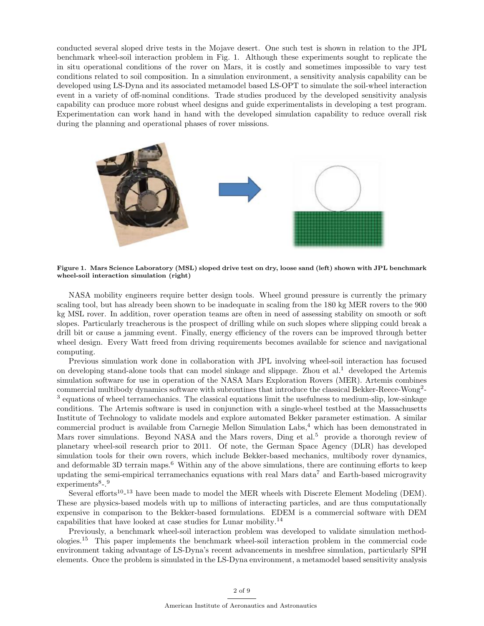conducted several sloped drive tests in the Mojave desert. One such test is shown in relation to the JPL benchmark wheel-soil interaction problem in Fig. 1. Although these experiments sought to replicate the in situ operational conditions of the rover on Mars, it is costly and sometimes impossible to vary test conditions related to soil composition. In a simulation environment, a sensitivity analysis capability can be developed using LS-Dyna and its associated metamodel based LS-OPT to simulate the soil-wheel interaction event in a variety of off-nominal conditions. Trade studies produced by the developed sensitivity analysis capability can produce more robust wheel designs and guide experimentalists in developing a test program. Experimentation can work hand in hand with the developed simulation capability to reduce overall risk during the planning and operational phases of rover missions.



Figure 1. Mars Science Laboratory (MSL) sloped drive test on dry, loose sand (left) shown with JPL benchmark wheel-soil interaction simulation (right)

NASA mobility engineers require better design tools. Wheel ground pressure is currently the primary scaling tool, but has already been shown to be inadequate in scaling from the 180 kg MER rovers to the 900 kg MSL rover. In addition, rover operation teams are often in need of assessing stability on smooth or soft slopes. Particularly treacherous is the prospect of drilling while on such slopes where slipping could break a drill bit or cause a jamming event. Finally, energy efficiency of the rovers can be improved through better wheel design. Every Watt freed from driving requirements becomes available for science and navigational computing.

Previous simulation work done in collaboration with JPL involving wheel-soil interaction has focused on developing stand-alone tools that can model sinkage and slippage. Zhou et al.<sup>1</sup> developed the Artemis simulation software for use in operation of the NASA Mars Exploration Rovers (MER). Artemis combines commercial multibody dynamics software with subroutines that introduce the classical Bekker-Reece-Wong<sup>2</sup>-<sup>3</sup> equations of wheel terramechanics. The classical equations limit the usefulness to medium-slip, low-sinkage conditions. The Artemis software is used in conjunction with a single-wheel testbed at the Massachusetts Institute of Technology to validate models and explore automated Bekker parameter estimation. A similar commercial product is available from Carnegie Mellon Simulation Labs,<sup>4</sup> which has been demonstrated in Mars rover simulations. Beyond NASA and the Mars rovers, Ding et al.<sup>5</sup> provide a thorough review of planetary wheel-soil research prior to 2011. Of note, the German Space Agency (DLR) has developed simulation tools for their own rovers, which include Bekker-based mechanics, multibody rover dynamics, and deformable 3D terrain maps.<sup>6</sup> Within any of the above simulations, there are continuing efforts to keep updating the semi-empirical terramechanics equations with real Mars data<sup>7</sup> and Earth-based microgravity experiments<sup>8</sup>-.<sup>9</sup>

Several efforts<sup>10</sup>-<sup>13</sup> have been made to model the MER wheels with Discrete Element Modeling (DEM). These are physics-based models with up to millions of interacting particles, and are thus computationally expensive in comparison to the Bekker-based formulations. EDEM is a commercial software with DEM capabilities that have looked at case studies for Lunar mobility.<sup>14</sup>

Previously, a benchmark wheel-soil interaction problem was developed to validate simulation methodologies.<sup>15</sup> This paper implements the benchmark wheel-soil interaction problem in the commercial code environment taking advantage of LS-Dyna's recent advancements in meshfree simulation, particularly SPH elements. Once the problem is simulated in the LS-Dyna environment, a metamodel based sensitivity analysis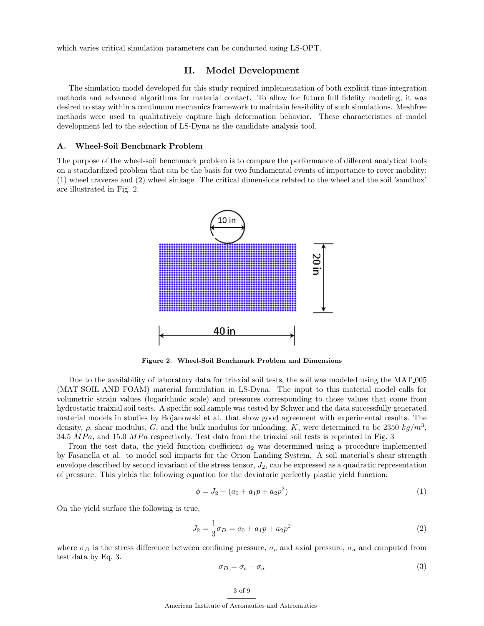which varies critical simulation parameters can be conducted using LS-OPT.

#### II. Model Development

The simulation model developed for this study required implementation of both explicit time integration methods and advanced algorithms for material contact. To allow for future full fidelity modeling, it was desired to stay within a continuum mechanics framework to maintain feasibility of such simulations. Meshfree methods were used to qualitatively capture high deformation behavior. These characteristics of model development led to the selection of LS-Dyna as the candidate analysis tool.

#### A. Wheel-Soil Benchmark Problem

The purpose of the wheel-soil benchmark problem is to compare the performance of different analytical tools on a standardized problem that can be the basis for two fundamental events of importance to rover mobility: (1) wheel traverse and (2) wheel sinkage. The critical dimensions related to the wheel and the soil 'sandbox' are illustrated in Fig. 2.



Figure 2. Wheel-Soil Benchmark Problem and Dimensions

Due to the availability of laboratory data for triaxial soil tests, the soil was modeled using the MAT 005 (MAT SOIL AND FOAM) material formulation in LS-Dyna. The input to this material model calls for volumetric strain values (logarithmic scale) and pressures corresponding to those values that come from hydrostatic traixial soil tests. A specific soil sample was tested by Schwer and the data successfully generated material models in studies by Bojanowski et al. that show good agreement with experimental results. The density,  $\rho$ , shear modulus, G, and the bulk modulus for unloading, K, were determined to be 2350 kg/m<sup>3</sup>, 34.5  $MPa$ , and 15.0  $MPa$  respectively. Test data from the triaxial soil tests is reprinted in Fig. 3

From the test data, the yield function coefficient  $a_2$  was determined using a procedure implemented by Fasanella et al. to model soil impacts for the Orion Landing System. A soil material's shear strength envelope described by second invariant of the stress tensor,  $J_2$ , can be expressed as a quadratic representation of pressure. This yields the following equation for the deviatoric perfectly plastic yield function:

$$
\phi = J_2 - (a_0 + a_1 p + a_2 p^2) \tag{1}
$$

On the yield surface the following is true,

$$
J_2 = \frac{1}{3}\sigma_D = a_0 + a_1 p + a_2 p^2 \tag{2}
$$

where  $\sigma_D$  is the stress difference between confining pressure,  $\sigma_c$  and axial pressure,  $\sigma_a$  and computed from test data by Eq. 3.

$$
\sigma_D = \sigma_c - \sigma_a \tag{3}
$$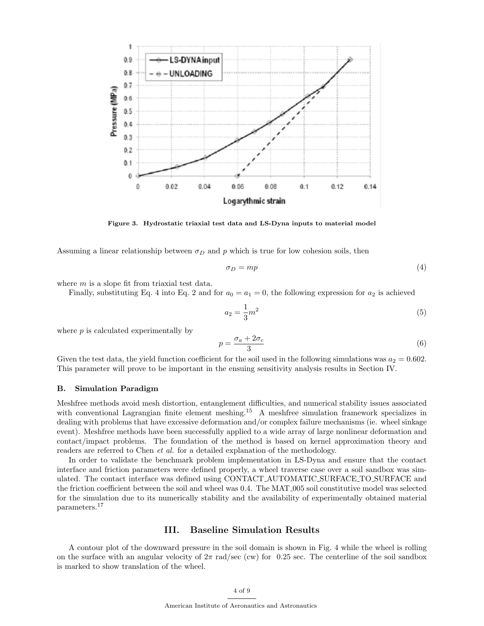

Figure 3. Hydrostatic triaxial test data and LS-Dyna inputs to material model

Assuming a linear relationship between  $\sigma_D$  and p which is true for low cohesion soils, then

$$
\sigma_D = mp \tag{4}
$$

where *m* is a slope fit from triaxial test data.

Finally, substituting Eq. 4 into Eq. 2 and for  $a_0 = a_1 = 0$ , the following expression for  $a_2$  is achieved

$$
a_2 = \frac{1}{3}m^2\tag{5}
$$

where  $p$  is calculated experimentally by

$$
p = \frac{\sigma_a + 2\sigma_c}{3} \tag{6}
$$

Given the test data, the yield function coefficient for the soil used in the following simulations was  $a_2 = 0.602$ . This parameter will prove to be important in the ensuing sensitivity analysis results in Section IV.

#### B. Simulation Paradigm

Meshfree methods avoid mesh distortion, entanglement difficulties, and numerical stability issues associated with conventional Lagrangian finite element meshing.<sup>15</sup> A meshfree simulation framework specializes in dealing with problems that have excessive deformation and/or complex failure mechanisms (ie. wheel sinkage event). Meshfree methods have been successfully applied to a wide array of large nonlinear deformation and contact/impact problems. The foundation of the method is based on kernel approximation theory and readers are referred to Chen *et al.* for a detailed explanation of the methodology.

In order to validate the benchmark problem implementation in LS-Dyna and ensure that the contact interface and friction parameters were defined properly, a wheel traverse case over a soil sandbox was simulated. The contact interface was defined using CONTACT AUTOMATIC SURFACE TO SURFACE and the friction coefficient between the soil and wheel was 0.4. The MAT 005 soil constitutive model was selected for the simulation due to its numerically stability and the availability of experimentally obtained material parameters.<sup>17</sup>

## III. Baseline Simulation Results

A contour plot of the downward pressure in the soil domain is shown in Fig. 4 while the wheel is rolling on the surface with an angular velocity of  $2\pi$  rad/sec (cw) for 0.25 sec. The centerline of the soil sandbox is marked to show translation of the wheel.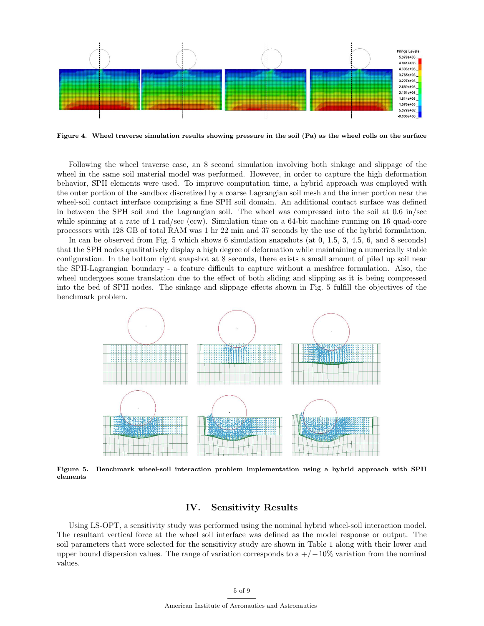

Figure 4. Wheel traverse simulation results showing pressure in the soil (Pa) as the wheel rolls on the surface

Following the wheel traverse case, an 8 second simulation involving both sinkage and slippage of the wheel in the same soil material model was performed. However, in order to capture the high deformation behavior, SPH elements were used. To improve computation time, a hybrid approach was employed with the outer portion of the sandbox discretized by a coarse Lagrangian soil mesh and the inner portion near the wheel-soil contact interface comprising a fine SPH soil domain. An additional contact surface was defined in between the SPH soil and the Lagrangian soil. The wheel was compressed into the soil at 0.6 in/sec while spinning at a rate of 1 rad/sec (ccw). Simulation time on a 64-bit machine running on 16 quad-core processors with 128 GB of total RAM was 1 hr 22 min and 37 seconds by the use of the hybrid formulation.

In can be observed from Fig. 5 which shows 6 simulation snapshots (at 0, 1.5, 3, 4.5, 6, and 8 seconds) that the SPH nodes qualitatively display a high degree of deformation while maintaining a numerically stable configuration. In the bottom right snapshot at 8 seconds, there exists a small amount of piled up soil near the SPH-Lagrangian boundary - a feature difficult to capture without a meshfree formulation. Also, the wheel undergoes some translation due to the effect of both sliding and slipping as it is being compressed into the bed of SPH nodes. The sinkage and slippage effects shown in Fig. 5 fulfill the objectives of the benchmark problem.



Figure 5. Benchmark wheel-soil interaction problem implementation using a hybrid approach with SPH elements

# IV. Sensitivity Results

Using LS-OPT, a sensitivity study was performed using the nominal hybrid wheel-soil interaction model. The resultant vertical force at the wheel soil interface was defined as the model response or output. The soil parameters that were selected for the sensitivity study are shown in Table 1 along with their lower and upper bound dispersion values. The range of variation corresponds to a  $+/-10\%$  variation from the nominal values.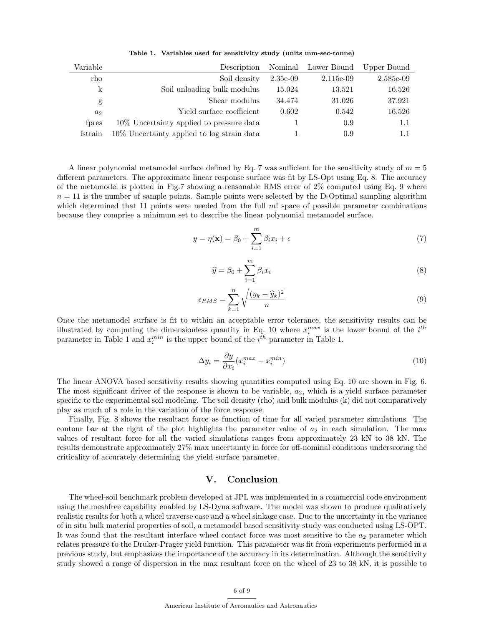Table 1. Variables used for sensitivity study (units mm-sec-tonne)

| Variable       | Description                                 | Nominal     | Lower Bound | Upper Bound |
|----------------|---------------------------------------------|-------------|-------------|-------------|
| rho            | Soil density                                | $2.35e-0.9$ | $2.115e-09$ | 2.585e-09   |
| k              | Soil unloading bulk modulus                 | 15.024      | 13.521      | 16.526      |
| g              | Shear modulus                               | 34.474      | 31.026      | 37.921      |
| a <sub>2</sub> | Yield surface coefficient                   | 0.602       | 0.542       | 16.526      |
| fores          | 10\% Uncertainty applied to pressure data   |             | 0.9         | 1.1         |
| fstrain        | 10\% Uncertainty applied to log strain data |             | 0.9         |             |

A linear polynomial metamodel surface defined by Eq. 7 was sufficient for the sensitivity study of  $m = 5$ different parameters. The approximate linear response surface was fit by LS-Opt using Eq. 8. The accuracy of the metamodel is plotted in Fig.7 showing a reasonable RMS error of 2% computed using Eq. 9 where  $n = 11$  is the number of sample points. Sample points were selected by the D-Optimal sampling algorithm which determined that 11 points were needed from the full  $m!$  space of possible parameter combinations because they comprise a minimum set to describe the linear polynomial metamodel surface.

$$
y = \eta(\mathbf{x}) = \beta_0 + \sum_{i=1}^{m} \beta_i x_i + \epsilon
$$
\n(7)

$$
\widehat{y} = \beta_0 + \sum_{i=1}^{m} \beta_i x_i \tag{8}
$$

$$
\epsilon_{RMS} = \sum_{k=1}^{n} \sqrt{\frac{(y_k - \widehat{y}_k)^2}{n}} \tag{9}
$$

Once the metamodel surface is fit to within an acceptable error tolerance, the sensitivity results can be illustrated by computing the dimensionless quantity in Eq. 10 where  $x_i^{max}$  is the lower bound of the  $i^{th}$ parameter in Table 1 and  $x_i^{min}$  is the upper bound of the  $i^{th}$  parameter in Table 1.

$$
\Delta y_i = \frac{\partial y}{\partial x_i} (x_i^{max} - x_i^{min}) \tag{10}
$$

The linear ANOVA based sensitivity results showing quantities computed using Eq. 10 are shown in Fig. 6. The most significant driver of the response is shown to be variable,  $a_2$ , which is a yield surface parameter specific to the experimental soil modeling. The soil density (rho) and bulk modulus (k) did not comparatively play as much of a role in the variation of the force response.

Finally, Fig. 8 shows the resultant force as function of time for all varied parameter simulations. The contour bar at the right of the plot highlights the parameter value of  $a_2$  in each simulation. The max values of resultant force for all the varied simulations ranges from approximately 23 kN to 38 kN. The results demonstrate approximately 27% max uncertainty in force for off-nominal conditions underscoring the criticality of accurately determining the yield surface parameter.

#### V. Conclusion

The wheel-soil benchmark problem developed at JPL was implemented in a commercial code environment using the meshfree capability enabled by LS-Dyna software. The model was shown to produce qualitatively realistic results for both a wheel traverse case and a wheel sinkage case. Due to the uncertainty in the variance of in situ bulk material properties of soil, a metamodel based sensitivity study was conducted using LS-OPT. It was found that the resultant interface wheel contact force was most sensitive to the  $a_2$  parameter which relates pressure to the Druker-Prager yield function. This parameter was fit from experiments performed in a previous study, but emphasizes the importance of the accuracy in its determination. Although the sensitivity study showed a range of dispersion in the max resultant force on the wheel of 23 to 38 kN, it is possible to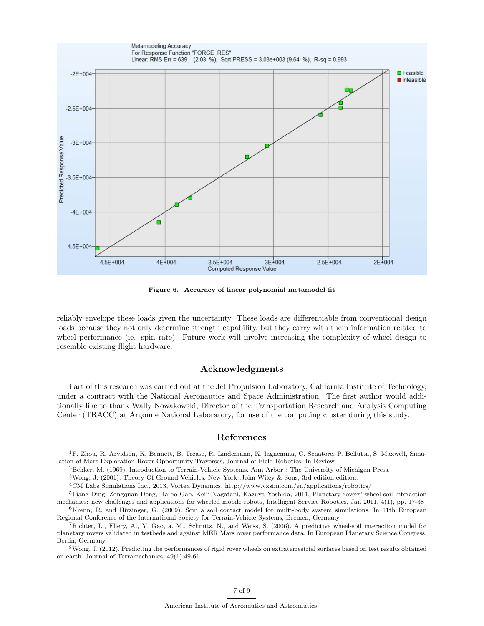

Figure 6. Accuracy of linear polynomial metamodel fit

reliably envelope these loads given the uncertainty. These loads are differentiable from conventional design loads because they not only determine strength capability, but they carry with them information related to wheel performance (ie. spin rate). Future work will involve increasing the complexity of wheel design to resemble existing flight hardware.

### Acknowledgments

Part of this research was carried out at the Jet Propulsion Laboratory, California Institute of Technology, under a contract with the National Aeronautics and Space Administration. The first author would additionally like to thank Wally Nowakowski, Director of the Transportation Research and Analysis Computing Center (TRACC) at Argonne National Laboratory, for use of the computing cluster during this study.

### References

<sup>1</sup>F. Zhou, R. Arvidson, K. Bennett, B. Trease, R. Lindemann, K. Iagnemma, C. Senatore, P. Bellutta, S. Maxwell, Simulation of Mars Exploration Rover Opportunity Traverses, Journal of Field Robotics, In Review

<sup>2</sup>Bekker, M. (1969). Introduction to Terrain-Vehicle Systems. Ann Arbor : The University of Michigan Press.

<sup>3</sup>Wong, J. (2001). Theory Of Ground Vehicles. New York :John Wiley & Sons, 3rd edition edition.

<sup>4</sup>CM Labs Simulations Inc., 2013, Vortex Dynamics, http://www.vxsim.com/en/applications/robotics/

<sup>5</sup>Liang Ding, Zongquan Deng, Haibo Gao, Keiji Nagatani, Kazuya Yoshida, 2011, Planetary rovers' wheel-soil interaction mechanics: new challenges and applications for wheeled mobile robots, Intelligent Service Robotics, Jan 2011, 4(1), pp. 17-38

 $6$ Krenn, R. and Hirzinger, G. (2009). Scm a soil contact model for multi-body system simulations. In 11th European Regional Conference of the International Society for Terrain-Vehicle Systems, Bremen, Germany.

<sup>7</sup>Richter, L., Ellery, A., Y. Gao, a. M., Schmitz, N., and Weiss, S. (2006). A predictive wheel-soil interaction model for planetary rovers validated in testbeds and against MER Mars rover performance data. In European Planetary Science Congress, Berlin, Germany.

 $8$ Wong, J. (2012). Predicting the performances of rigid rover wheels on extraterrestrial surfaces based on test results obtained on earth. Journal of Terramechanics, 49(1):49-61.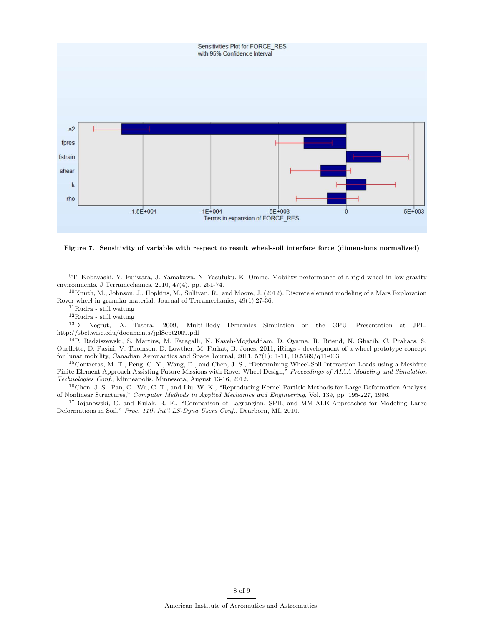

Figure 7. Sensitivity of variable with respect to result wheel-soil interface force (dimensions normalized)

<sup>9</sup>T. Kobayashi, Y. Fujiwara, J. Yamakawa, N. Yasufuku, K. Omine, Mobility performance of a rigid wheel in low gravity environments. J Terramechanics, 2010, 47(4), pp. 261-74.

 $10$ Knuth, M., Johnson, J., Hopkins, M., Sullivan, R., and Moore, J. (2012). Discrete element modeling of a Mars Exploration Rover wheel in granular material. Journal of Terramechanics, 49(1):27-36.

<sup>11</sup>Rudra - still waiting

 $\rm ^{12}Rudra$  - still waiting

<sup>13</sup>D. Negrut, A. Tasora, 2009, Multi-Body Dynamics Simulation on the GPU, Presentation at JPL, http://sbel.wisc.edu/documents/jplSept2009.pdf

<sup>14</sup>P. Radziszewski, S. Martins, M. Faragalli, N. Kaveh-Moghaddam, D. Oyama, R. Briend, N. Gharib, C. Prahacs, S. Ouellette, D. Pasini, V. Thomson, D. Lowther, M. Farhat, B. Jones, 2011, iRings - development of a wheel prototype concept for lunar mobility, Canadian Aeronautics and Space Journal, 2011, 57(1): 1-11, 10.5589/q11-003

<sup>15</sup>Contreras, M. T., Peng, C. Y., Wang, D., and Chen, J. S., "Determining Wheel-Soil Interaction Loads using a Meshfree Finite Element Approach Assisting Future Missions with Rover Wheel Design," Proceedings of AIAA Modeling and Simulation Technologies Conf., Minneapolis, Minnesota, August 13-16, 2012.

<sup>16</sup>Chen, J. S., Pan, C., Wu, C. T., and Liu, W. K., "Reproducing Kernel Particle Methods for Large Deformation Analysis of Nonlinear Structures," Computer Methods in Applied Mechanics and Engineering, Vol. 139, pp. 195-227, 1996.

<sup>17</sup>Bojanowski, C. and Kulak, R. F., "Comparison of Lagrangian, SPH, and MM-ALE Approaches for Modeling Large Deformations in Soil," Proc. 11th Int'l LS-Dyna Users Conf., Dearborn, MI, 2010.